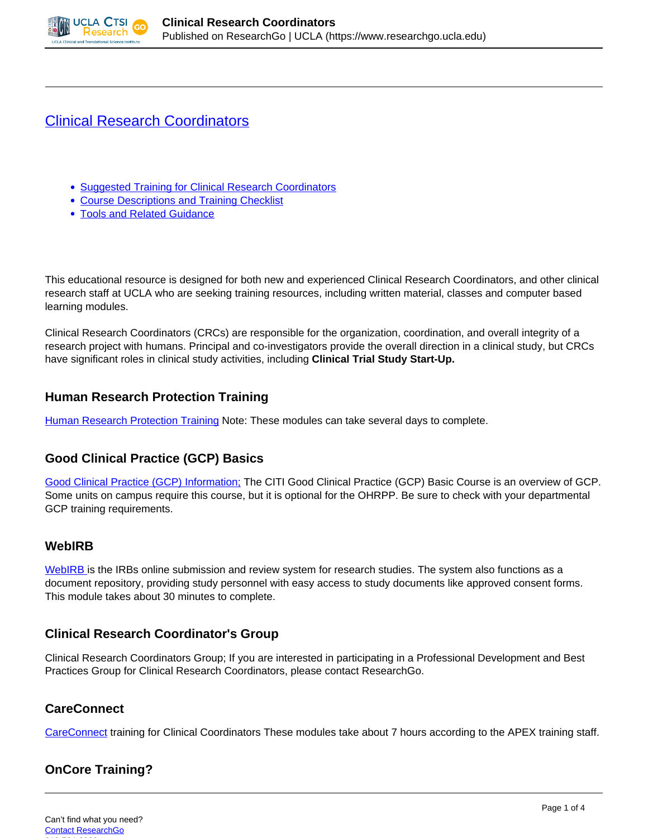

# [Clinical Research Coordinators](https://www.researchgo.ucla.edu/clinical-research-coordinators)

- Suggested Training for Clinical Research Coordinators
- Course Descriptions and Training Checklist
- Tools and Related Guidance

This educational resource is designed for both new and experienced Clinical Research Coordinators, and other clinical research staff at UCLA who are seeking training resources, including written material, classes and computer based learning modules.

Clinical Research Coordinators (CRCs) are responsible for the organization, coordination, and overall integrity of a research project with humans. Principal and co-investigators provide the overall direction in a clinical study, but CRCs have significant roles in clinical study activities, including **Clinical Trial Study Start-Up.**

### **Human Research Protection Training**

[Human Research Protection Training](http://ora.research.ucla.edu/OHRPP/Pages/EducationTraining.aspx) Note: These modules can take several days to complete.

### **Good Clinical Practice (GCP) Basics**

[Good Clinical Practice \(GCP\) Information;](http://www.researchgo.ucla.edu/good-clinical-practice) The CITI Good Clinical Practice (GCP) Basic Course is an overview of GCP. Some units on campus require this course, but it is optional for the OHRPP. Be sure to check with your departmental GCP training requirements.

### **WebIRB**

[WebIRB i](http://www.researchgo.ucla.edu/ucla-webirb)s the IRBs online submission and review system for research studies. The system also functions as a document repository, providing study personnel with easy access to study documents like approved consent forms. This module takes about 30 minutes to complete.

### **Clinical Research Coordinator's Group**

Clinical Research Coordinators Group; If you are interested in participating in a Professional Development and Best Practices Group for Clinical Research Coordinators, please contact ResearchGo.

### **CareConnect**

[CareConnect](http://www.researchgo.ucla.edu/careconnect) training for Clinical Coordinators These modules take about 7 hours according to the APEX training staff.

## **OnCore Training?**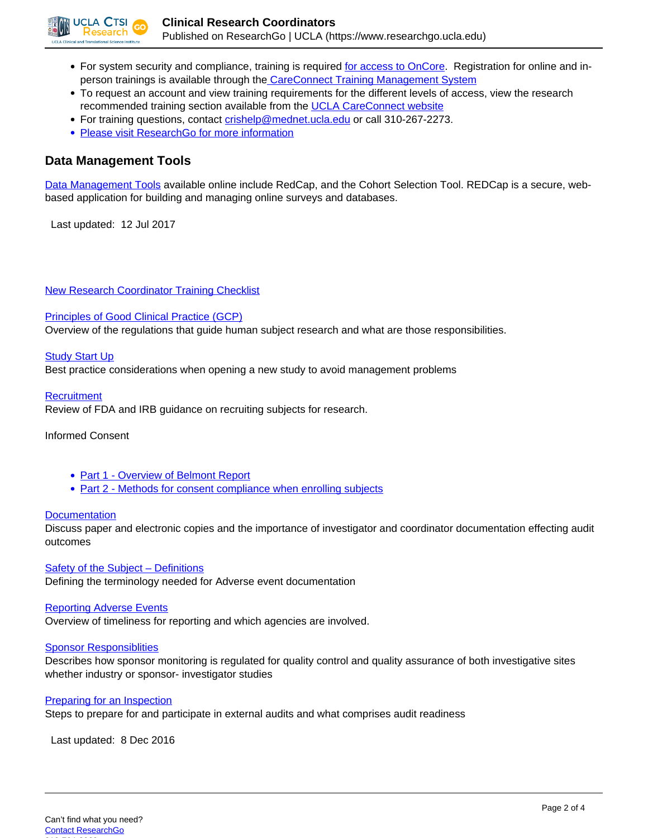

- For system security and compliance, training is required [for access to OnCore](https://crmsprod.mednet.ucla.edu/login/login). Registration for online and inperson trainings is available through the [CareConnect Training Management System](https://lms.ccnet.ucla.edu/careconnect/)
- To request an account and view training requirements for the different levels of access, view the research recommended training section available from the [UCLA CareConnect website](http://careconnect.uclahealth.org/)
- For training questions, contact [crishelp@mednet.ucla.edu](mailto:crishelp@mednet.ucla.edu) or call 310-267-2273.
- [Please visit ResearchGo for more information](http://www.researchgo.ucla.edu/oncore)

### **Data Management Tools**

[Data Management Tools](http://www.researchgo.ucla.edu/data-management) available online include RedCap, and the Cohort Selection Tool. REDCap is a secure, webbased application for building and managing online surveys and databases.

Last updated: 12 Jul 2017

[New Research Coordinator Training Checklist](https://www.researchgo.ucla.edu/sites/default/files/sites/default/New_Coordinator_Training_Checklist%202.pdf)

#### [Principles of Good Clinical Practice \(GCP\)](https://www.researchgo.ucla.edu/sites/default/files/sites/default/1.UCLA%20CRC_GCP%20and%20Ethical%20Principles-JUNE2016.pdf)

Overview of the regulations that guide human subject research and what are those responsibilities.

#### **[Study Start Up](https://www.researchgo.ucla.edu/sites/default/files/sites/default/2.CTSI%20CRCRole_Study%20Start%20up-JUNE2016.pdf)**

Best practice considerations when opening a new study to avoid management problems

#### **[Recruitment](https://www.researchgo.ucla.edu/sites/default/files/sites/default/3.CTSI%20CRCRole_Recruitment-JUNE2016.pdf)**

Review of FDA and IRB guidance on recruiting subjects for research.

Informed Consent

- [Part 1 Overview of Belmont Report](https://www.researchgo.ucla.edu/sites/default/files/sites/default/4.1%20UCLA%20CTSI%20Consent-part%201-JUNE2016.pdf)
- [Part 2 Methods for consent compliance when enrolling subjects](https://www.researchgo.ucla.edu/sites/default/files/sites/default/4.2%20UCLA%20CTSI%20%20Consent-part%202.pdf)

#### **[Documentation](https://www.researchgo.ucla.edu/sites/default/files/sites/default/5.1%20CTSI%20CRCRole_Documentation.pdf)**

Discuss paper and electronic copies and the importance of investigator and coordinator documentation effecting audit outcomes

Safety of the Subject - Definitions Defining the terminology needed for Adverse event documentation

#### [Reporting Adverse Events](https://www.researchgo.ucla.edu/sites/default/files/sites/default/7.Reporting%20Adverse%20Events.pdf)

Overview of timeliness for reporting and which agencies are involved.

#### [Sponsor Responsiblities](https://www.researchgo.ucla.edu/sites/default/files/sites/default/8.%20CTSI%20CRCRole_21CFR%20312.pdf)

Describes how sponsor monitoring is regulated for quality control and quality assurance of both investigative sites whether industry or sponsor- investigator studies

#### [Preparing for an Inspection](http://dev-uclago.pantheonsite.io/sites/default/files/sites/default/9%20CTSI%20CRCRole_FDA%20INSPECTIONS.pdf)

Steps to prepare for and participate in external audits and what comprises audit readiness

Last updated: 8 Dec 2016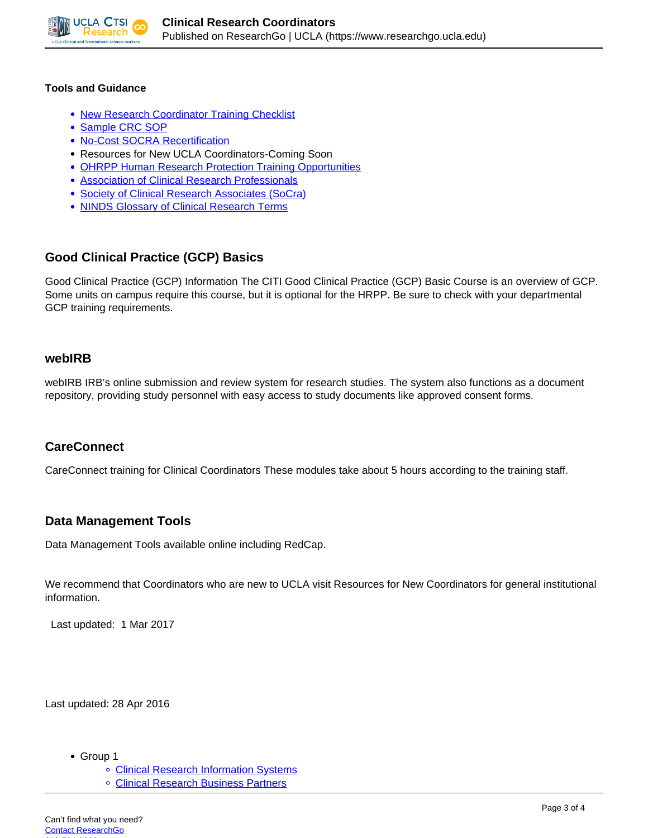

#### **Tools and Guidance**

- [New Research Coordinator Training Checklist](https://www.researchgo.ucla.edu/sites/default/files/sites/default/New_Coordinator_Training_Checklist%202.pdf)
- [Sample CRC SOP](https://www.researchgo.ucla.edu/sites/default/files/sites/default/Sample_SOP_CRC%20MAY2016.doc)
- [No-Cost SOCRA Recertification](https://www.researchgo.ucla.edu/sites/default/files/sites/default/No-Cost%20SOCRA%20recert%202.pdf)
- Resources for New UCLA Coordinators-Coming Soon
- [OHRPP Human Research Protection Training Opportunities](http://ora.research.ucla.edu/OHRPP/Pages/EducationTraining.aspx)
- [Association of Clinical Research Professionals](http://www.acrpnet.org/MainMenuCategory/Certification.aspx)
- [Society of Clinical Research Associates \(SoCra\)](https://www.socra.org/)
- [NINDS](http://www.ninds.nih.gov/research/clinical_research/basics/glossary.htm) [Glossary of Clinical Research Terms](http://www.ninds.nih.gov/research/clinical_research/basics/glossary.htm)

### **Good Clinical Practice (GCP) Basics**

Good Clinical Practice (GCP) Information The CITI Good Clinical Practice (GCP) Basic Course is an overview of GCP. Some units on campus require this course, but it is optional for the HRPP. Be sure to check with your departmental GCP training requirements.

#### **webIRB**

webIRB IRB's online submission and review system for research studies. The system also functions as a document repository, providing study personnel with easy access to study documents like approved consent forms.

### **CareConnect**

CareConnect training for Clinical Coordinators These modules take about 5 hours according to the training staff.

### **Data Management Tools**

Data Management Tools available online including RedCap.

We recommend that Coordinators who are new to UCLA visit Resources for New Coordinators for general institutional information.

Last updated: 1 Mar 2017

Last updated: 28 Apr 2016

- Group 1
	- o [Clinical Research Information Systems](http://medschool.ucla.edu/clinical-trials)
	- [Clinical Research Business Partners](http://clinicaltrials.ucla.edu/faculty.cfm?id=24)